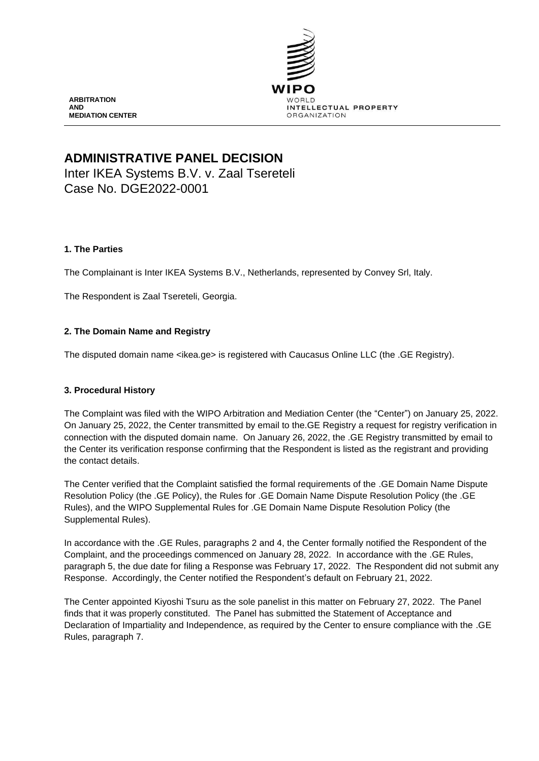

**ARBITRATION AND MEDIATION CENTER**

# **ADMINISTRATIVE PANEL DECISION**

Inter IKEA Systems B.V. v. Zaal Tsereteli Case No. DGE2022-0001

## **1. The Parties**

The Complainant is Inter IKEA Systems B.V., Netherlands, represented by Convey Srl, Italy.

The Respondent is Zaal Tsereteli, Georgia.

# **2. The Domain Name and Registry**

The disputed domain name <ikea.ge> is registered with Caucasus Online LLC (the .GE Registry).

#### **3. Procedural History**

The Complaint was filed with the WIPO Arbitration and Mediation Center (the "Center") on January 25, 2022. On January 25, 2022, the Center transmitted by email to the.GE Registry a request for registry verification in connection with the disputed domain name. On January 26, 2022, the .GE Registry transmitted by email to the Center its verification response confirming that the Respondent is listed as the registrant and providing the contact details.

The Center verified that the Complaint satisfied the formal requirements of the .GE Domain Name Dispute Resolution Policy (the .GE Policy), the Rules for .GE Domain Name Dispute Resolution Policy (the .GE Rules), and the WIPO Supplemental Rules for .GE Domain Name Dispute Resolution Policy (the Supplemental Rules).

In accordance with the .GE Rules, paragraphs 2 and 4, the Center formally notified the Respondent of the Complaint, and the proceedings commenced on January 28, 2022. In accordance with the .GE Rules, paragraph 5, the due date for filing a Response was February 17, 2022. The Respondent did not submit any Response. Accordingly, the Center notified the Respondent's default on February 21, 2022.

The Center appointed Kiyoshi Tsuru as the sole panelist in this matter on February 27, 2022. The Panel finds that it was properly constituted. The Panel has submitted the Statement of Acceptance and Declaration of Impartiality and Independence, as required by the Center to ensure compliance with the .GE Rules, paragraph 7.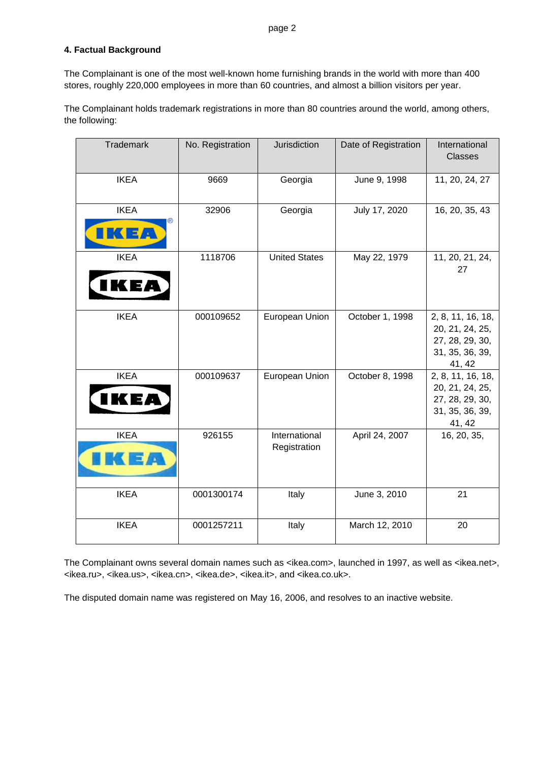# **4. Factual Background**

The Complainant is one of the most well-known home furnishing brands in the world with more than 400 stores, roughly 220,000 employees in more than 60 countries, and almost a billion visitors per year.

The Complainant holds trademark registrations in more than 80 countries around the world, among others, the following:

| Trademark           | No. Registration | Jurisdiction                  | Date of Registration | International<br><b>Classes</b>                                                      |
|---------------------|------------------|-------------------------------|----------------------|--------------------------------------------------------------------------------------|
| <b>IKEA</b>         | 9669             | Georgia                       | June 9, 1998         | 11, 20, 24, 27                                                                       |
| <b>IKEA</b><br>73 a | 32906            | Georgia                       | July 17, 2020        | 16, 20, 35, 43                                                                       |
| <b>IKEA</b><br>KE/  | 1118706          | <b>United States</b>          | May 22, 1979         | 11, 20, 21, 24,<br>27                                                                |
| <b>IKEA</b>         | 000109652        | European Union                | October 1, 1998      | 2, 8, 11, 16, 18,<br>20, 21, 24, 25,<br>27, 28, 29, 30,<br>31, 35, 36, 39,<br>41, 42 |
| <b>IKEA</b><br>IKEA | 000109637        | European Union                | October 8, 1998      | 2, 8, 11, 16, 18,<br>20, 21, 24, 25,<br>27, 28, 29, 30,<br>31, 35, 36, 39,<br>41, 42 |
| <b>IKEA</b>         | 926155           | International<br>Registration | April 24, 2007       | 16, 20, 35,                                                                          |
| <b>IKEA</b>         | 0001300174       | Italy                         | June 3, 2010         | 21                                                                                   |
| <b>IKEA</b>         | 0001257211       | Italy                         | March 12, 2010       | 20                                                                                   |

The Complainant owns several domain names such as <ikea.com>, launched in 1997, as well as <ikea.net>, <ikea.ru>, <ikea.us>, <ikea.cn>, <ikea.de>, <ikea.it>, and <ikea.co.uk>.

The disputed domain name was registered on May 16, 2006, and resolves to an inactive website.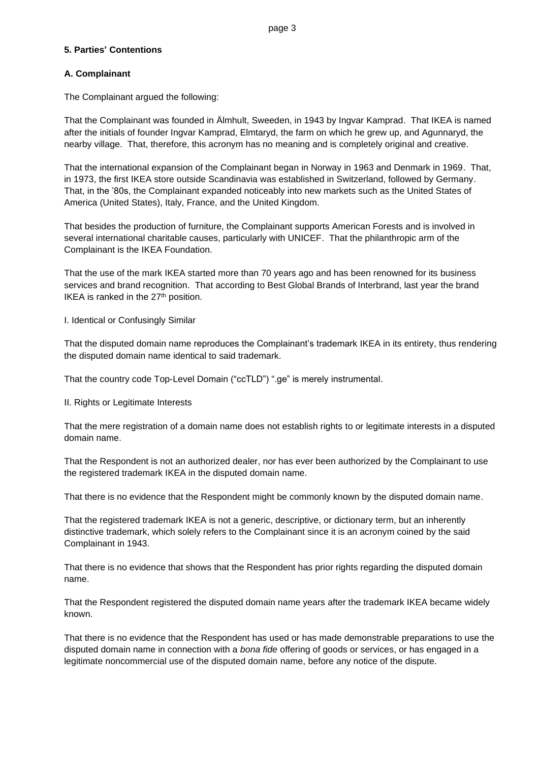## **5. Parties' Contentions**

### **A. Complainant**

The Complainant argued the following:

That the Complainant was founded in Älmhult, Sweeden, in 1943 by Ingvar Kamprad. That IKEA is named after the initials of founder Ingvar Kamprad, Elmtaryd, the farm on which he grew up, and Agunnaryd, the nearby village. That, therefore, this acronym has no meaning and is completely original and creative.

That the international expansion of the Complainant began in Norway in 1963 and Denmark in 1969. That, in 1973, the first IKEA store outside Scandinavia was established in Switzerland, followed by Germany. That, in the '80s, the Complainant expanded noticeably into new markets such as the United States of America (United States), Italy, France, and the United Kingdom.

That besides the production of furniture, the Complainant supports American Forests and is involved in several international charitable causes, particularly with UNICEF. That the philanthropic arm of the Complainant is the IKEA Foundation.

That the use of the mark IKEA started more than 70 years ago and has been renowned for its business services and brand recognition. That according to Best Global Brands of Interbrand, last year the brand IKEA is ranked in the 27<sup>th</sup> position.

I. Identical or Confusingly Similar

That the disputed domain name reproduces the Complainant's trademark IKEA in its entirety, thus rendering the disputed domain name identical to said trademark.

That the country code Top-Level Domain ("ccTLD") ".ge" is merely instrumental.

II. Rights or Legitimate Interests

That the mere registration of a domain name does not establish rights to or legitimate interests in a disputed domain name.

That the Respondent is not an authorized dealer, nor has ever been authorized by the Complainant to use the registered trademark IKEA in the disputed domain name.

That there is no evidence that the Respondent might be commonly known by the disputed domain name.

That the registered trademark IKEA is not a generic, descriptive, or dictionary term, but an inherently distinctive trademark, which solely refers to the Complainant since it is an acronym coined by the said Complainant in 1943.

That there is no evidence that shows that the Respondent has prior rights regarding the disputed domain name.

That the Respondent registered the disputed domain name years after the trademark IKEA became widely known.

That there is no evidence that the Respondent has used or has made demonstrable preparations to use the disputed domain name in connection with a *bona fide* offering of goods or services, or has engaged in a legitimate noncommercial use of the disputed domain name, before any notice of the dispute.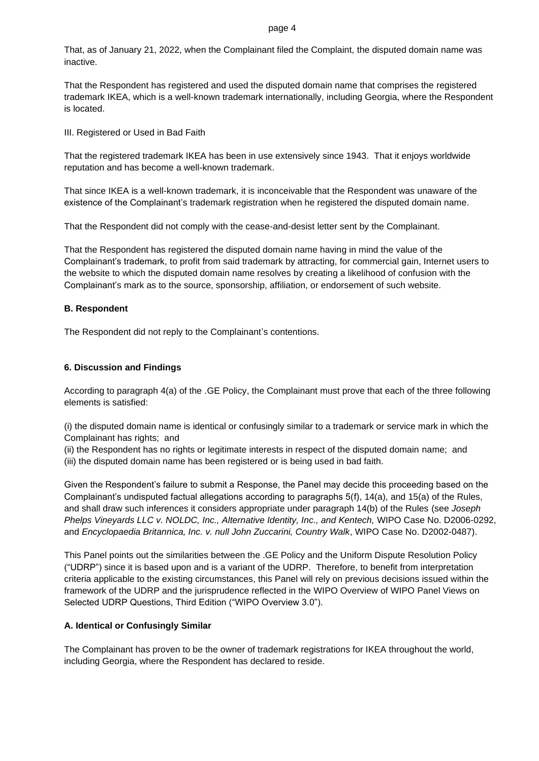That, as of January 21, 2022, when the Complainant filed the Complaint, the disputed domain name was inactive.

That the Respondent has registered and used the disputed domain name that comprises the registered trademark IKEA, which is a well-known trademark internationally, including Georgia, where the Respondent is located.

III. Registered or Used in Bad Faith

That the registered trademark IKEA has been in use extensively since 1943. That it enjoys worldwide reputation and has become a well-known trademark.

That since IKEA is a well-known trademark, it is inconceivable that the Respondent was unaware of the existence of the Complainant's trademark registration when he registered the disputed domain name.

That the Respondent did not comply with the cease-and-desist letter sent by the Complainant.

That the Respondent has registered the disputed domain name having in mind the value of the Complainant's trademark, to profit from said trademark by attracting, for commercial gain, Internet users to the website to which the disputed domain name resolves by creating a likelihood of confusion with the Complainant's mark as to the source, sponsorship, affiliation, or endorsement of such website.

#### **B. Respondent**

The Respondent did not reply to the Complainant's contentions.

#### **6. Discussion and Findings**

According to paragraph 4(a) of the .GE Policy, the Complainant must prove that each of the three following elements is satisfied:

(i) the disputed domain name is identical or confusingly similar to a trademark or service mark in which the Complainant has rights; and

(ii) the Respondent has no rights or legitimate interests in respect of the disputed domain name; and (iii) the disputed domain name has been registered or is being used in bad faith.

Given the Respondent's failure to submit a Response, the Panel may decide this proceeding based on the Complainant's undisputed factual allegations according to paragraphs 5(f), 14(a), and 15(a) of the Rules, and shall draw such inferences it considers appropriate under paragraph 14(b) of the Rules (see *Joseph Phelps Vineyards LLC v. NOLDC, Inc., Alternative Identity, Inc., and Kentech,* WIPO Case No. D2006-0292, and *Encyclopaedia Britannica, Inc. v. null John Zuccarini, Country Walk*, WIPO Case No. D2002-0487).

This Panel points out the similarities between the .GE Policy and the Uniform Dispute Resolution Policy ("UDRP") since it is based upon and is a variant of the UDRP. Therefore, to benefit from interpretation criteria applicable to the existing circumstances, this Panel will rely on previous decisions issued within the framework of the UDRP and the jurisprudence reflected in the WIPO Overview of WIPO Panel Views on Selected UDRP Questions, Third Edition ("WIPO Overview 3.0").

#### **A. Identical or Confusingly Similar**

The Complainant has proven to be the owner of trademark registrations for IKEA throughout the world, including Georgia, where the Respondent has declared to reside.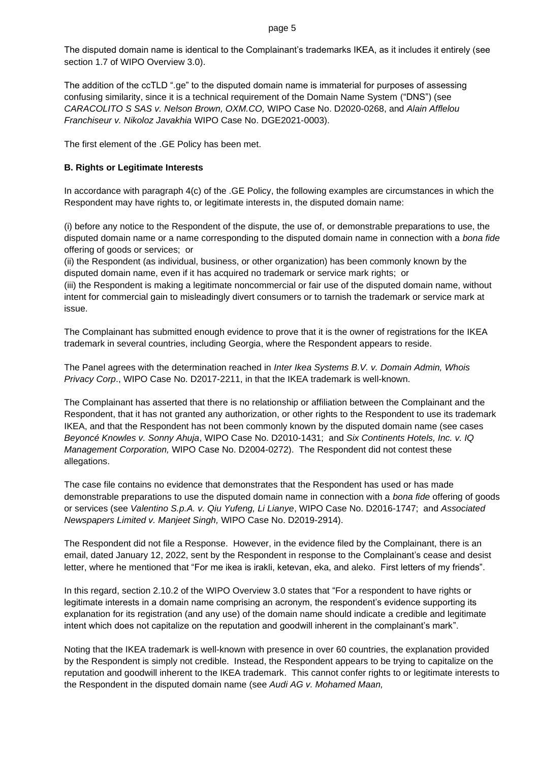The disputed domain name is identical to the Complainant's trademarks IKEA, as it includes it entirely (see section 1.7 of WIPO Overview 3.0).

The addition of the ccTLD ".ge" to the disputed domain name is immaterial for purposes of assessing confusing similarity, since it is a technical requirement of the Domain Name System ("DNS") (see *CARACOLITO S SAS v. Nelson Brown, OXM.CO,* WIPO Case No. D2020-0268, and *Alain Afflelou Franchiseur v. Nikoloz Javakhia* WIPO Case No. DGE2021-0003).

The first element of the .GE Policy has been met.

#### **B. Rights or Legitimate Interests**

In accordance with paragraph 4(c) of the .GE Policy, the following examples are circumstances in which the Respondent may have rights to, or legitimate interests in, the disputed domain name:

(i) before any notice to the Respondent of the dispute, the use of, or demonstrable preparations to use, the disputed domain name or a name corresponding to the disputed domain name in connection with a *bona fide* offering of goods or services; or

(ii) the Respondent (as individual, business, or other organization) has been commonly known by the disputed domain name, even if it has acquired no trademark or service mark rights; or (iii) the Respondent is making a legitimate noncommercial or fair use of the disputed domain name, without intent for commercial gain to misleadingly divert consumers or to tarnish the trademark or service mark at issue.

The Complainant has submitted enough evidence to prove that it is the owner of registrations for the IKEA trademark in several countries, including Georgia, where the Respondent appears to reside.

The Panel agrees with the determination reached in *Inter Ikea Systems B.V. v. Domain Admin, Whois Privacy Corp*., WIPO Case No. D2017-2211, in that the IKEA trademark is well-known.

The Complainant has asserted that there is no relationship or affiliation between the Complainant and the Respondent, that it has not granted any authorization, or other rights to the Respondent to use its trademark IKEA, and that the Respondent has not been commonly known by the disputed domain name (see cases *Beyoncé Knowles v. Sonny Ahuja*, WIPO Case No. D2010-1431; and *Six Continents Hotels, Inc. v. IQ Management Corporation,* WIPO Case No. D2004-0272). The Respondent did not contest these allegations.

The case file contains no evidence that demonstrates that the Respondent has used or has made demonstrable preparations to use the disputed domain name in connection with a *bona fide* offering of goods or services (see *Valentino S.p.A. v. Qiu Yufeng, Li Lianye*, WIPO Case No. D2016-1747; and *Associated Newspapers Limited v. Manjeet Singh,* WIPO Case No. D2019-2914).

The Respondent did not file a Response. However, in the evidence filed by the Complainant, there is an email, dated January 12, 2022, sent by the Respondent in response to the Complainant's cease and desist letter, where he mentioned that "For me ikea is irakli, ketevan, eka, and aleko. First letters of my friends".

In this regard, section 2.10.2 of the WIPO Overview 3.0 states that "For a respondent to have rights or legitimate interests in a domain name comprising an acronym, the respondent's evidence supporting its explanation for its registration (and any use) of the domain name should indicate a credible and legitimate intent which does not capitalize on the reputation and goodwill inherent in the complainant's mark".

Noting that the IKEA trademark is well-known with presence in over 60 countries, the explanation provided by the Respondent is simply not credible. Instead, the Respondent appears to be trying to capitalize on the reputation and goodwill inherent to the IKEA trademark. This cannot confer rights to or legitimate interests to the Respondent in the disputed domain name (see *Audi AG v. Mohamed Maan,*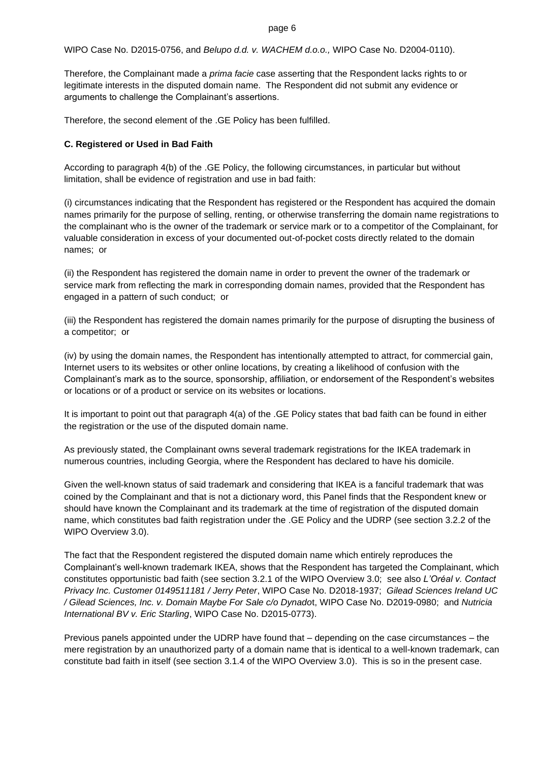WIPO Case No. D2015-0756, and *Belupo d.d. v. WACHEM d.o.o.,* WIPO Case No. D2004-0110).

Therefore, the Complainant made a *prima facie* case asserting that the Respondent lacks rights to or legitimate interests in the disputed domain name. The Respondent did not submit any evidence or arguments to challenge the Complainant's assertions.

Therefore, the second element of the .GE Policy has been fulfilled.

#### **C. Registered or Used in Bad Faith**

According to paragraph 4(b) of the .GE Policy, the following circumstances, in particular but without limitation, shall be evidence of registration and use in bad faith:

(i) circumstances indicating that the Respondent has registered or the Respondent has acquired the domain names primarily for the purpose of selling, renting, or otherwise transferring the domain name registrations to the complainant who is the owner of the trademark or service mark or to a competitor of the Complainant, for valuable consideration in excess of your documented out-of-pocket costs directly related to the domain names; or

(ii) the Respondent has registered the domain name in order to prevent the owner of the trademark or service mark from reflecting the mark in corresponding domain names, provided that the Respondent has engaged in a pattern of such conduct; or

(iii) the Respondent has registered the domain names primarily for the purpose of disrupting the business of a competitor; or

(iv) by using the domain names, the Respondent has intentionally attempted to attract, for commercial gain, Internet users to its websites or other online locations, by creating a likelihood of confusion with the Complainant's mark as to the source, sponsorship, affiliation, or endorsement of the Respondent's websites or locations or of a product or service on its websites or locations.

It is important to point out that paragraph 4(a) of the .GE Policy states that bad faith can be found in either the registration or the use of the disputed domain name.

As previously stated, the Complainant owns several trademark registrations for the IKEA trademark in numerous countries, including Georgia, where the Respondent has declared to have his domicile.

Given the well-known status of said trademark and considering that IKEA is a fanciful trademark that was coined by the Complainant and that is not a dictionary word, this Panel finds that the Respondent knew or should have known the Complainant and its trademark at the time of registration of the disputed domain name, which constitutes bad faith registration under the .GE Policy and the UDRP (see section 3.2.2 of the WIPO Overview 3.0).

The fact that the Respondent registered the disputed domain name which entirely reproduces the Complainant's well-known trademark IKEA, shows that the Respondent has targeted the Complainant, which constitutes opportunistic bad faith (see section 3.2.1 of the WIPO Overview 3.0; see also *L'Oréal v. Contact Privacy Inc. Customer 0149511181 / Jerry Peter*, WIPO Case No. D2018-1937; *Gilead Sciences Ireland UC / Gilead Sciences, Inc. v. Domain Maybe For Sale c/o Dynado*t, WIPO Case No. D2019-0980; and *Nutricia International BV v. Eric Starling*, WIPO Case No. D2015-0773).

Previous panels appointed under the UDRP have found that – depending on the case circumstances – the mere registration by an unauthorized party of a domain name that is identical to a well-known trademark, can constitute bad faith in itself (see section 3.1.4 of the WIPO Overview 3.0). This is so in the present case.